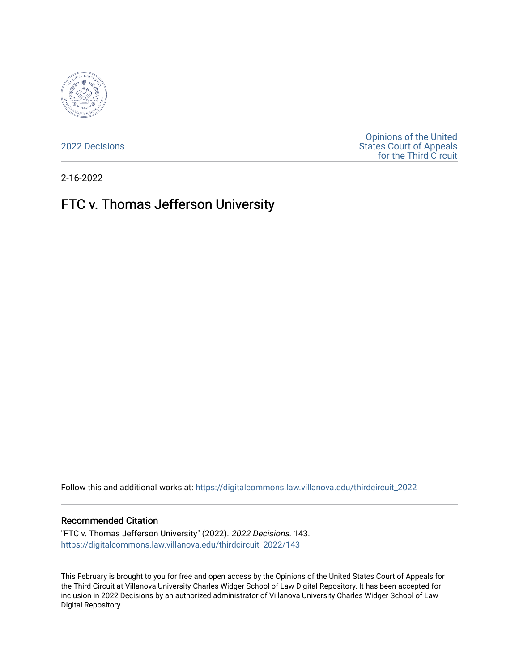

[2022 Decisions](https://digitalcommons.law.villanova.edu/thirdcircuit_2022)

[Opinions of the United](https://digitalcommons.law.villanova.edu/thirdcircuit)  [States Court of Appeals](https://digitalcommons.law.villanova.edu/thirdcircuit)  [for the Third Circuit](https://digitalcommons.law.villanova.edu/thirdcircuit) 

2-16-2022

# FTC v. Thomas Jefferson University

Follow this and additional works at: [https://digitalcommons.law.villanova.edu/thirdcircuit\\_2022](https://digitalcommons.law.villanova.edu/thirdcircuit_2022?utm_source=digitalcommons.law.villanova.edu%2Fthirdcircuit_2022%2F143&utm_medium=PDF&utm_campaign=PDFCoverPages) 

#### Recommended Citation

"FTC v. Thomas Jefferson University" (2022). 2022 Decisions. 143. [https://digitalcommons.law.villanova.edu/thirdcircuit\\_2022/143](https://digitalcommons.law.villanova.edu/thirdcircuit_2022/143?utm_source=digitalcommons.law.villanova.edu%2Fthirdcircuit_2022%2F143&utm_medium=PDF&utm_campaign=PDFCoverPages)

This February is brought to you for free and open access by the Opinions of the United States Court of Appeals for the Third Circuit at Villanova University Charles Widger School of Law Digital Repository. It has been accepted for inclusion in 2022 Decisions by an authorized administrator of Villanova University Charles Widger School of Law Digital Repository.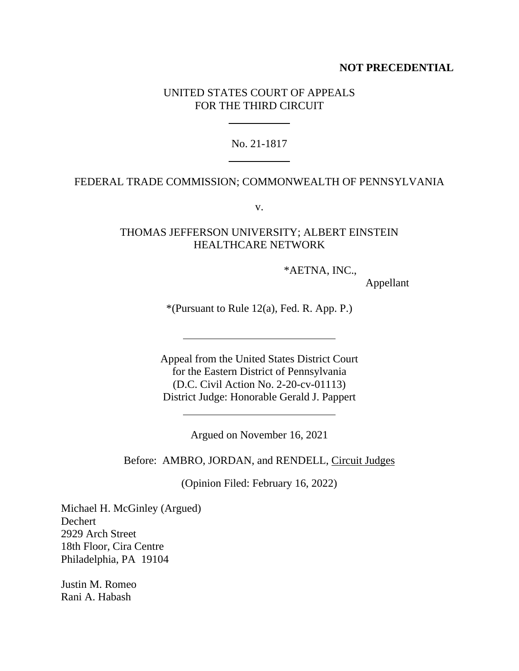## **NOT PRECEDENTIAL**

## UNITED STATES COURT OF APPEALS FOR THE THIRD CIRCUIT

### No. 21-1817

### FEDERAL TRADE COMMISSION; COMMONWEALTH OF PENNSYLVANIA

v.

# THOMAS JEFFERSON UNIVERSITY; ALBERT EINSTEIN HEALTHCARE NETWORK

## \*AETNA, INC.,

Appellant

\*(Pursuant to Rule 12(a), Fed. R. App. P.)

Appeal from the United States District Court for the Eastern District of Pennsylvania (D.C. Civil Action No. 2-20-cv-01113) District Judge: Honorable Gerald J. Pappert

Argued on November 16, 2021

Before: AMBRO, JORDAN, and RENDELL, Circuit Judges

(Opinion Filed: February 16, 2022)

Michael H. McGinley (Argued) Dechert 2929 Arch Street 18th Floor, Cira Centre Philadelphia, PA 19104

Justin M. Romeo Rani A. Habash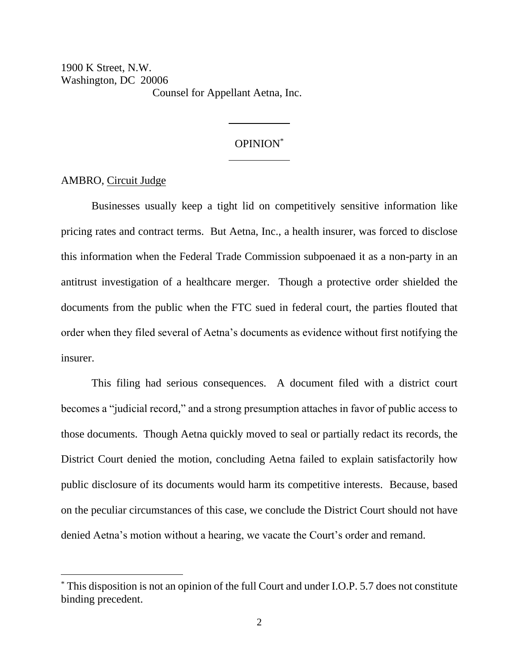1900 K Street, N.W. Washington, DC 20006 Counsel for Appellant Aetna, Inc.

#### OPINION\*

#### AMBRO, Circuit Judge

Businesses usually keep a tight lid on competitively sensitive information like pricing rates and contract terms. But Aetna, Inc., a health insurer, was forced to disclose this information when the Federal Trade Commission subpoenaed it as a non-party in an antitrust investigation of a healthcare merger. Though a protective order shielded the documents from the public when the FTC sued in federal court, the parties flouted that order when they filed several of Aetna's documents as evidence without first notifying the insurer.

This filing had serious consequences. A document filed with a district court becomes a "judicial record," and a strong presumption attaches in favor of public access to those documents. Though Aetna quickly moved to seal or partially redact its records, the District Court denied the motion, concluding Aetna failed to explain satisfactorily how public disclosure of its documents would harm its competitive interests. Because, based on the peculiar circumstances of this case, we conclude the District Court should not have denied Aetna's motion without a hearing, we vacate the Court's order and remand.

<sup>\*</sup> This disposition is not an opinion of the full Court and under I.O.P. 5.7 does not constitute binding precedent.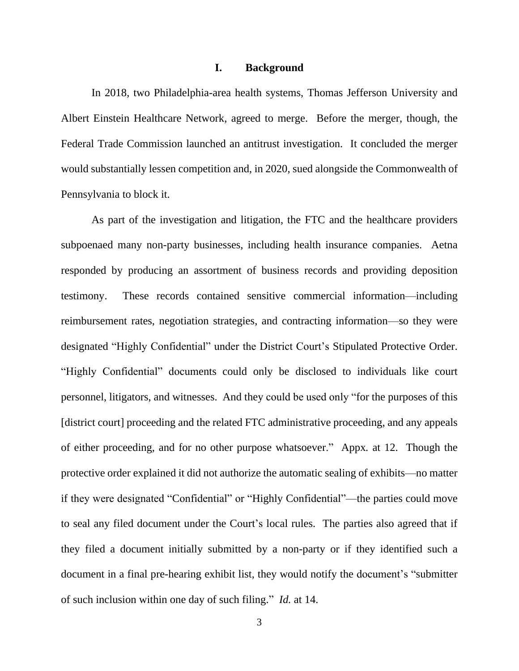## **I. Background**

In 2018, two Philadelphia-area health systems, Thomas Jefferson University and Albert Einstein Healthcare Network, agreed to merge. Before the merger, though, the Federal Trade Commission launched an antitrust investigation. It concluded the merger would substantially lessen competition and, in 2020, sued alongside the Commonwealth of Pennsylvania to block it.

As part of the investigation and litigation, the FTC and the healthcare providers subpoenaed many non-party businesses, including health insurance companies. Aetna responded by producing an assortment of business records and providing deposition testimony. These records contained sensitive commercial information—including reimbursement rates, negotiation strategies, and contracting information—so they were designated "Highly Confidential" under the District Court's Stipulated Protective Order. "Highly Confidential" documents could only be disclosed to individuals like court personnel, litigators, and witnesses. And they could be used only "for the purposes of this [district court] proceeding and the related FTC administrative proceeding, and any appeals of either proceeding, and for no other purpose whatsoever." Appx*.* at 12.Though the protective order explained it did not authorize the automatic sealing of exhibits—no matter if they were designated "Confidential" or "Highly Confidential"—the parties could move to seal any filed document under the Court's local rules. The parties also agreed that if they filed a document initially submitted by a non-party or if they identified such a document in a final pre-hearing exhibit list, they would notify the document's "submitter of such inclusion within one day of such filing." *Id.* at 14.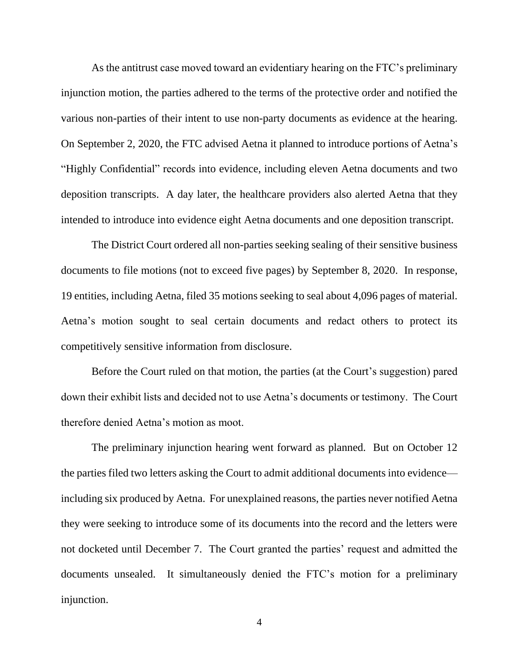As the antitrust case moved toward an evidentiary hearing on the FTC's preliminary injunction motion, the parties adhered to the terms of the protective order and notified the various non-parties of their intent to use non-party documents as evidence at the hearing. On September 2, 2020, the FTC advised Aetna it planned to introduce portions of Aetna's "Highly Confidential" records into evidence, including eleven Aetna documents and two deposition transcripts. A day later, the healthcare providers also alerted Aetna that they intended to introduce into evidence eight Aetna documents and one deposition transcript.

The District Court ordered all non-parties seeking sealing of their sensitive business documents to file motions (not to exceed five pages) by September 8, 2020. In response, 19 entities, including Aetna, filed 35 motions seeking to seal about 4,096 pages of material. Aetna's motion sought to seal certain documents and redact others to protect its competitively sensitive information from disclosure.

Before the Court ruled on that motion, the parties (at the Court's suggestion) pared down their exhibit lists and decided not to use Aetna's documents or testimony. The Court therefore denied Aetna's motion as moot.

The preliminary injunction hearing went forward as planned. But on October 12 the parties filed two letters asking the Court to admit additional documents into evidence including six produced by Aetna. For unexplained reasons, the parties never notified Aetna they were seeking to introduce some of its documents into the record and the letters were not docketed until December 7. The Court granted the parties' request and admitted the documents unsealed. It simultaneously denied the FTC's motion for a preliminary injunction.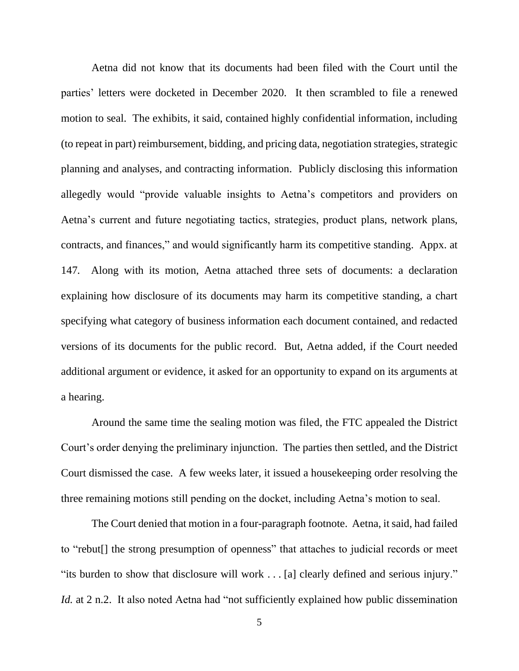Aetna did not know that its documents had been filed with the Court until the parties' letters were docketed in December 2020. It then scrambled to file a renewed motion to seal. The exhibits, it said, contained highly confidential information, including (to repeat in part) reimbursement, bidding, and pricing data, negotiation strategies, strategic planning and analyses, and contracting information. Publicly disclosing this information allegedly would "provide valuable insights to Aetna's competitors and providers on Aetna's current and future negotiating tactics, strategies, product plans, network plans, contracts, and finances," and would significantly harm its competitive standing. Appx. at 147*.* Along with its motion, Aetna attached three sets of documents: a declaration explaining how disclosure of its documents may harm its competitive standing, a chart specifying what category of business information each document contained, and redacted versions of its documents for the public record. But, Aetna added, if the Court needed additional argument or evidence, it asked for an opportunity to expand on its arguments at a hearing.

Around the same time the sealing motion was filed, the FTC appealed the District Court's order denying the preliminary injunction. The parties then settled, and the District Court dismissed the case. A few weeks later, it issued a housekeeping order resolving the three remaining motions still pending on the docket, including Aetna's motion to seal.

The Court denied that motion in a four-paragraph footnote. Aetna, it said, had failed to "rebut[] the strong presumption of openness" that attaches to judicial records or meet "its burden to show that disclosure will work . . . [a] clearly defined and serious injury." *Id.* at 2 n.2. It also noted Aetna had "not sufficiently explained how public dissemination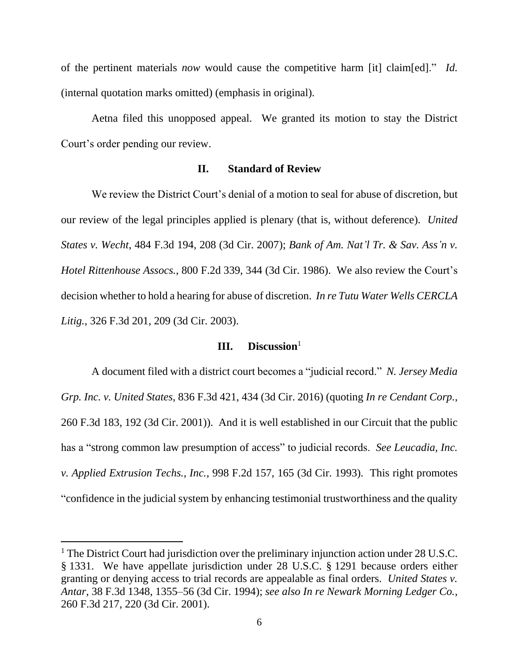of the pertinent materials *now* would cause the competitive harm [it] claim[ed]." *Id.* (internal quotation marks omitted) (emphasis in original).

Aetna filed this unopposed appeal. We granted its motion to stay the District Court's order pending our review.

## **II. Standard of Review**

We review the District Court's denial of a motion to seal for abuse of discretion, but our review of the legal principles applied is plenary (that is, without deference). *United States v. Wecht*, 484 F.3d 194, 208 (3d Cir. 2007); *Bank of Am. Nat'l Tr. & Sav. Ass'n v. Hotel Rittenhouse Assocs.*, 800 F.2d 339, 344 (3d Cir. 1986). We also review the Court's decision whether to hold a hearing for abuse of discretion. *In re Tutu Water Wells CERCLA Litig.*, 326 F.3d 201, 209 (3d Cir. 2003).

# **III. Discussion** 1

A document filed with a district court becomes a "judicial record." *N. Jersey Media Grp. Inc. v. United States*, 836 F.3d 421, 434 (3d Cir. 2016) (quoting *In re Cendant Corp.*, 260 F.3d 183, 192 (3d Cir. 2001)). And it is well established in our Circuit that the public has a "strong common law presumption of access" to judicial records. *See Leucadia, Inc. v. Applied Extrusion Techs., Inc.*, 998 F.2d 157, 165 (3d Cir. 1993). This right promotes "confidence in the judicial system by enhancing testimonial trustworthiness and the quality

<sup>&</sup>lt;sup>1</sup> The District Court had jurisdiction over the preliminary injunction action under 28 U.S.C. § 1331. We have appellate jurisdiction under 28 U.S.C. § 1291 because orders either granting or denying access to trial records are appealable as final orders. *United States v. Antar*, 38 F.3d 1348, 1355–56 (3d Cir. 1994); *see also In re Newark Morning Ledger Co.*, 260 F.3d 217, 220 (3d Cir. 2001).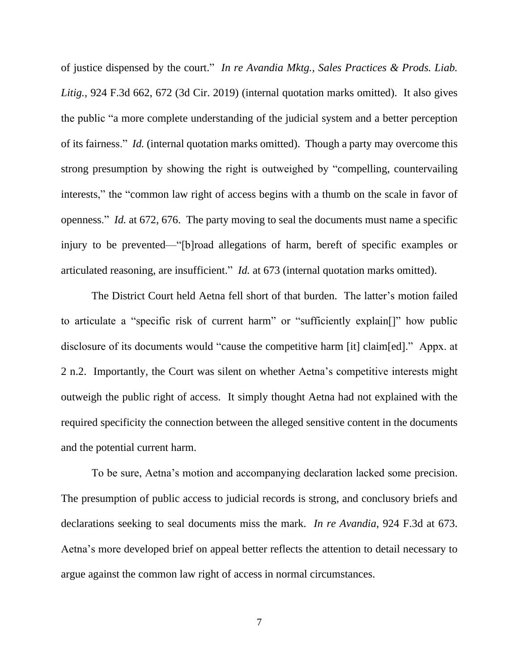of justice dispensed by the court." *In re Avandia Mktg., Sales Practices & Prods. Liab. Litig.*, 924 F.3d 662, 672 (3d Cir. 2019) (internal quotation marks omitted). It also gives the public "a more complete understanding of the judicial system and a better perception of its fairness." *Id.* (internal quotation marks omitted). Though a party may overcome this strong presumption by showing the right is outweighed by "compelling, countervailing interests," the "common law right of access begins with a thumb on the scale in favor of openness." *Id.* at 672, 676. The party moving to seal the documents must name a specific injury to be prevented—"[b]road allegations of harm, bereft of specific examples or articulated reasoning, are insufficient." *Id.* at 673 (internal quotation marks omitted).

The District Court held Aetna fell short of that burden. The latter's motion failed to articulate a "specific risk of current harm" or "sufficiently explain[]" how public disclosure of its documents would "cause the competitive harm [it] claim[ed]." Appx. at 2 n.2. Importantly, the Court was silent on whether Aetna's competitive interests might outweigh the public right of access. It simply thought Aetna had not explained with the required specificity the connection between the alleged sensitive content in the documents and the potential current harm.

To be sure, Aetna's motion and accompanying declaration lacked some precision. The presumption of public access to judicial records is strong, and conclusory briefs and declarations seeking to seal documents miss the mark. *In re Avandia*, 924 F.3d at 673. Aetna's more developed brief on appeal better reflects the attention to detail necessary to argue against the common law right of access in normal circumstances.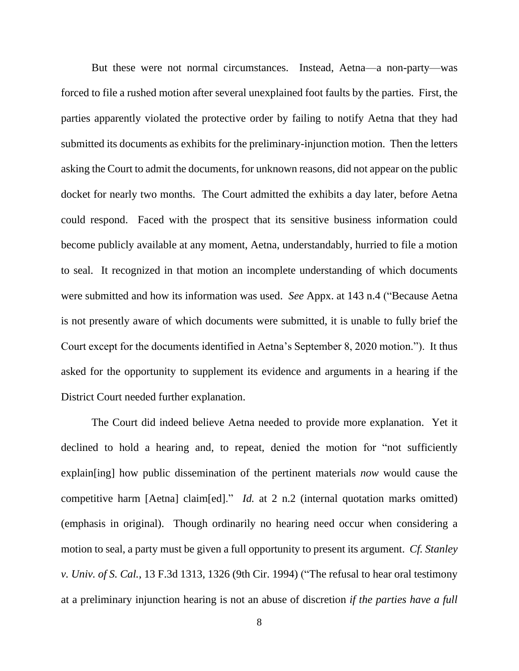But these were not normal circumstances. Instead, Aetna—a non-party—was forced to file a rushed motion after several unexplained foot faults by the parties. First, the parties apparently violated the protective order by failing to notify Aetna that they had submitted its documents as exhibits for the preliminary-injunction motion. Then the letters asking the Court to admit the documents, for unknown reasons, did not appear on the public docket for nearly two months. The Court admitted the exhibits a day later, before Aetna could respond. Faced with the prospect that its sensitive business information could become publicly available at any moment, Aetna, understandably, hurried to file a motion to seal. It recognized in that motion an incomplete understanding of which documents were submitted and how its information was used. *See* Appx. at 143 n.4 ("Because Aetna is not presently aware of which documents were submitted, it is unable to fully brief the Court except for the documents identified in Aetna's September 8, 2020 motion."). It thus asked for the opportunity to supplement its evidence and arguments in a hearing if the District Court needed further explanation.

The Court did indeed believe Aetna needed to provide more explanation. Yet it declined to hold a hearing and, to repeat, denied the motion for "not sufficiently explain[ing] how public dissemination of the pertinent materials *now* would cause the competitive harm [Aetna] claim[ed]." *Id.* at 2 n.2 (internal quotation marks omitted) (emphasis in original). Though ordinarily no hearing need occur when considering a motion to seal, a party must be given a full opportunity to present its argument. *Cf. Stanley v. Univ. of S. Cal.*, 13 F.3d 1313, 1326 (9th Cir. 1994) ("The refusal to hear oral testimony at a preliminary injunction hearing is not an abuse of discretion *if the parties have a full*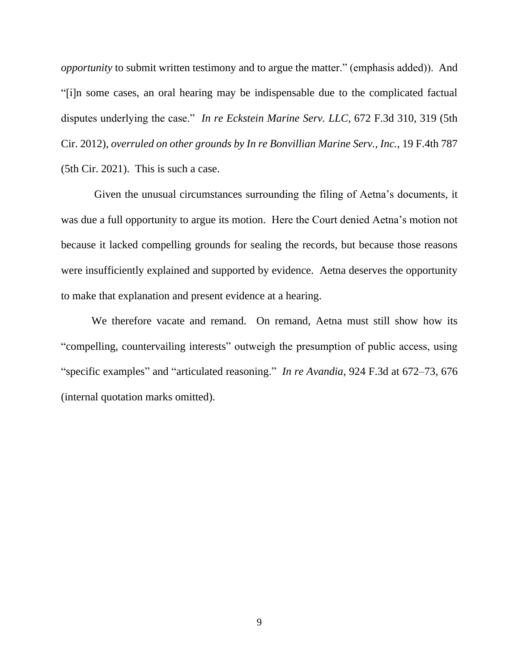*opportunity* to submit written testimony and to argue the matter." (emphasis added)). And "[i]n some cases, an oral hearing may be indispensable due to the complicated factual disputes underlying the case." *In re Eckstein Marine Serv. LLC*, 672 F.3d 310, 319 (5th Cir. 2012), *overruled on other grounds by In re Bonvillian Marine Serv., Inc.*, 19 F.4th 787 (5th Cir. 2021). This is such a case.

Given the unusual circumstances surrounding the filing of Aetna's documents, it was due a full opportunity to argue its motion. Here the Court denied Aetna's motion not because it lacked compelling grounds for sealing the records, but because those reasons were insufficiently explained and supported by evidence. Aetna deserves the opportunity to make that explanation and present evidence at a hearing.

We therefore vacate and remand. On remand, Aetna must still show how its "compelling, countervailing interests" outweigh the presumption of public access, using "specific examples" and "articulated reasoning." *In re Avandia*, 924 F.3d at 672–73, 676 (internal quotation marks omitted).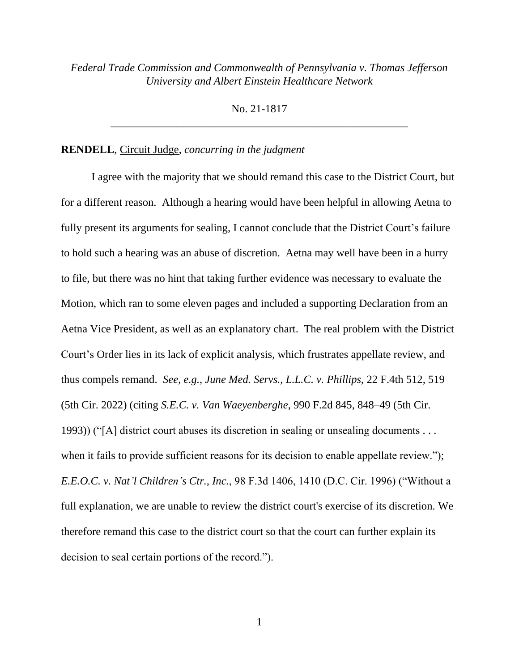# *Federal Trade Commission and Commonwealth of Pennsylvania v. Thomas Jefferson University and Albert Einstein Healthcare Network*

No. 21-1817 \_\_\_\_\_\_\_\_\_\_\_\_\_\_\_\_\_\_\_\_\_\_\_\_\_\_\_\_\_\_\_\_\_\_\_\_\_\_\_\_\_\_\_\_\_\_\_\_\_\_\_\_\_\_

## **RENDELL**, Circuit Judge, *concurring in the judgment*

I agree with the majority that we should remand this case to the District Court, but for a different reason. Although a hearing would have been helpful in allowing Aetna to fully present its arguments for sealing, I cannot conclude that the District Court's failure to hold such a hearing was an abuse of discretion. Aetna may well have been in a hurry to file, but there was no hint that taking further evidence was necessary to evaluate the Motion, which ran to some eleven pages and included a supporting Declaration from an Aetna Vice President, as well as an explanatory chart. The real problem with the District Court's Order lies in its lack of explicit analysis, which frustrates appellate review, and thus compels remand. *See, e.g.*, *June Med. Servs., L.L.C. v. Phillips*, 22 F.4th 512, 519 (5th Cir. 2022) (citing *S.E.C. v. Van Waeyenberghe*, 990 F.2d 845, 848–49 (5th Cir. 1993)) ("[A] district court abuses its discretion in sealing or unsealing documents . . . when it fails to provide sufficient reasons for its decision to enable appellate review."); *E.E.O.C. v. Nat'l Children's Ctr., Inc.*, 98 F.3d 1406, 1410 (D.C. Cir. 1996) ("Without a full explanation, we are unable to review the district court's exercise of its discretion. We therefore remand this case to the district court so that the court can further explain its decision to seal certain portions of the record.").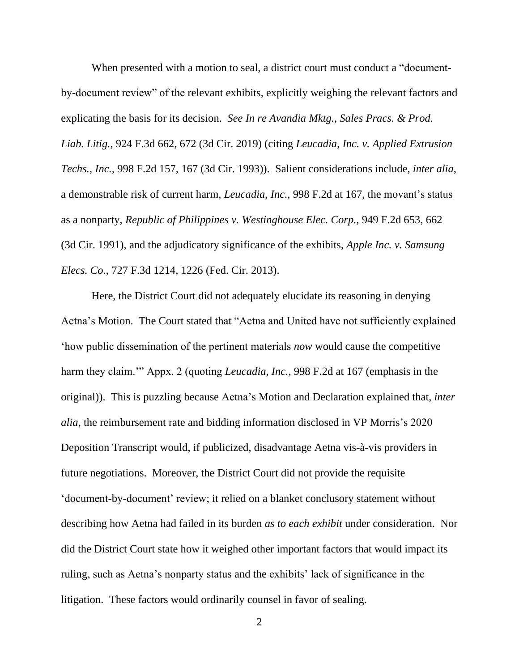When presented with a motion to seal, a district court must conduct a "documentby-document review" of the relevant exhibits, explicitly weighing the relevant factors and explicating the basis for its decision. *See In re Avandia Mktg., Sales Pracs. & Prod. Liab. Litig.*, 924 F.3d 662, 672 (3d Cir. 2019) (citing *Leucadia, Inc. v. Applied Extrusion Techs., Inc.*, 998 F.2d 157, 167 (3d Cir. 1993)). Salient considerations include, *inter alia*, a demonstrable risk of current harm, *Leucadia, Inc.*, 998 F.2d at 167, the movant's status as a nonparty, *Republic of Philippines v. Westinghouse Elec. Corp.*, 949 F.2d 653, 662 (3d Cir. 1991), and the adjudicatory significance of the exhibits, *Apple Inc. v. Samsung Elecs. Co.*, 727 F.3d 1214, 1226 (Fed. Cir. 2013).

Here, the District Court did not adequately elucidate its reasoning in denying Aetna's Motion. The Court stated that "Aetna and United have not sufficiently explained 'how public dissemination of the pertinent materials *now* would cause the competitive harm they claim.'" Appx. 2 (quoting *Leucadia, Inc.*, 998 F.2d at 167 (emphasis in the original)). This is puzzling because Aetna's Motion and Declaration explained that, *inter alia*, the reimbursement rate and bidding information disclosed in VP Morris's 2020 Deposition Transcript would, if publicized, disadvantage Aetna vis-à-vis providers in future negotiations. Moreover, the District Court did not provide the requisite 'document-by-document' review; it relied on a blanket conclusory statement without describing how Aetna had failed in its burden *as to each exhibit* under consideration. Nor did the District Court state how it weighed other important factors that would impact its ruling, such as Aetna's nonparty status and the exhibits' lack of significance in the litigation. These factors would ordinarily counsel in favor of sealing.

2